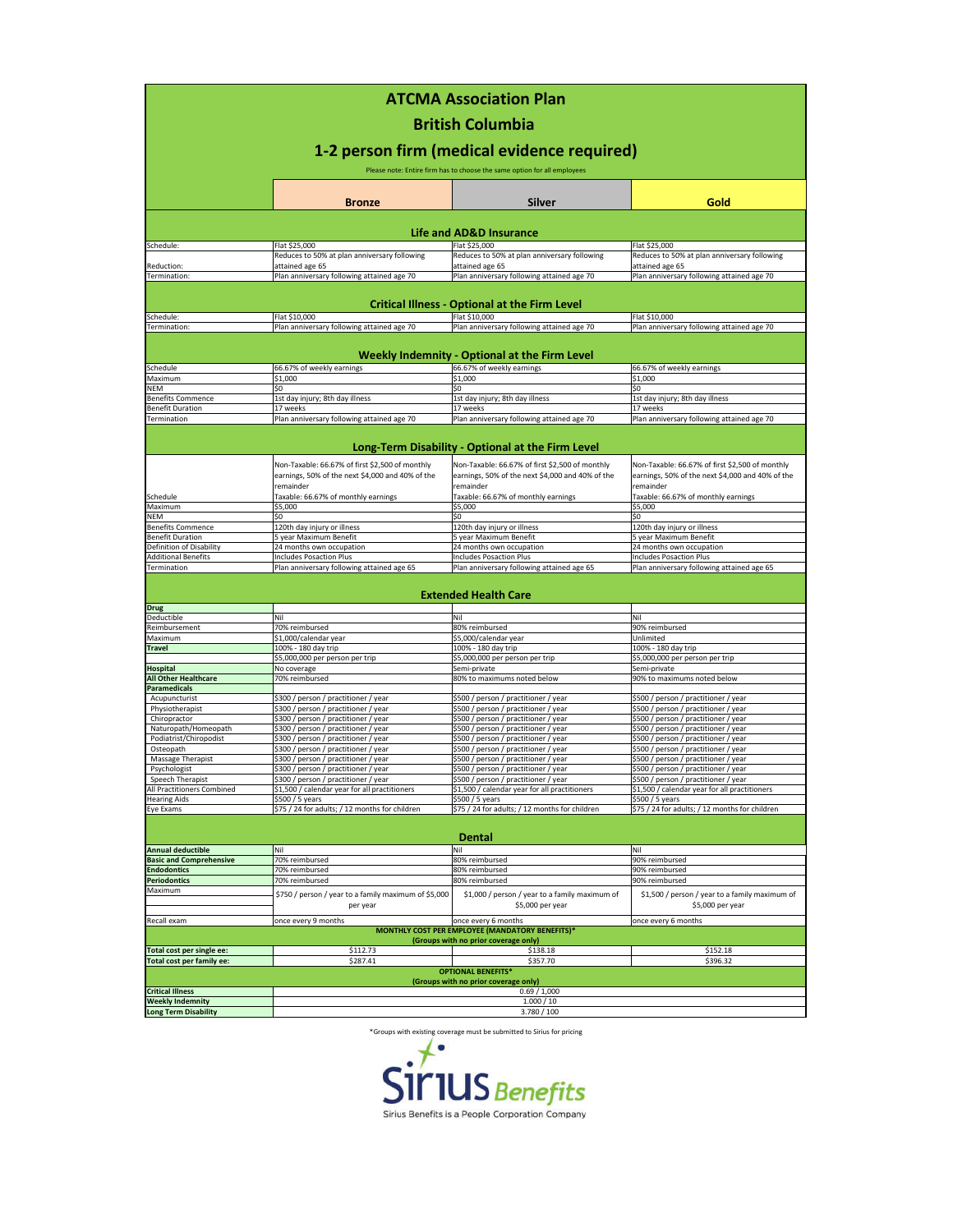| <b>ATCMA Association Plan</b><br><b>British Columbia</b><br>1-2 person firm (medical evidence required)<br>Please note: Entire firm has to choose the same option for all employees |                                                                                                     |                                                                                                     |                                                                                                     |  |  |  |                                    |               |               |      |
|-------------------------------------------------------------------------------------------------------------------------------------------------------------------------------------|-----------------------------------------------------------------------------------------------------|-----------------------------------------------------------------------------------------------------|-----------------------------------------------------------------------------------------------------|--|--|--|------------------------------------|---------------|---------------|------|
|                                                                                                                                                                                     |                                                                                                     |                                                                                                     |                                                                                                     |  |  |  |                                    | <b>Bronze</b> | <b>Silver</b> | Gold |
|                                                                                                                                                                                     |                                                                                                     |                                                                                                     |                                                                                                     |  |  |  | <b>Life and AD&amp;D Insurance</b> |               |               |      |
| Schedule:                                                                                                                                                                           | Flat \$25,000                                                                                       | Flat \$25,000                                                                                       | Flat \$25,000                                                                                       |  |  |  |                                    |               |               |      |
| Reduction:                                                                                                                                                                          | Reduces to 50% at plan anniversary following<br>attained age 65                                     | Reduces to 50% at plan anniversary following<br>attained age 65                                     | Reduces to 50% at plan anniversary following<br>attained age 65                                     |  |  |  |                                    |               |               |      |
| Termination:                                                                                                                                                                        | Plan anniversary following attained age 70                                                          | Plan anniversary following attained age 70                                                          | Plan anniversary following attained age 70                                                          |  |  |  |                                    |               |               |      |
| <b>Critical Illness - Optional at the Firm Level</b>                                                                                                                                |                                                                                                     |                                                                                                     |                                                                                                     |  |  |  |                                    |               |               |      |
| Schedule:                                                                                                                                                                           | Flat \$10,000                                                                                       | Flat \$10,000                                                                                       | Flat \$10,000                                                                                       |  |  |  |                                    |               |               |      |
| Termination:                                                                                                                                                                        | Plan anniversary following attained age 70                                                          | Plan anniversary following attained age 70                                                          | Plan anniversary following attained age 70                                                          |  |  |  |                                    |               |               |      |
| Weekly Indemnity - Optional at the Firm Level                                                                                                                                       |                                                                                                     |                                                                                                     |                                                                                                     |  |  |  |                                    |               |               |      |
| Schedule                                                                                                                                                                            | 66.67% of weekly earnings                                                                           | 66.67% of weekly earnings                                                                           | 66.67% of weekly earnings                                                                           |  |  |  |                                    |               |               |      |
| Maximum                                                                                                                                                                             | \$1,000                                                                                             | \$1,000                                                                                             | \$1,000                                                                                             |  |  |  |                                    |               |               |      |
| <b>NEM</b><br><b>Benefits Commence</b>                                                                                                                                              | \$0<br>1st day injury; 8th day illness                                                              | Ś۵<br>1st day injury; 8th day illness                                                               | Ś0<br>1st day injury; 8th day illness                                                               |  |  |  |                                    |               |               |      |
| <b>Benefit Duration</b>                                                                                                                                                             | 17 weeks                                                                                            | 17 weeks                                                                                            | 17 weeks                                                                                            |  |  |  |                                    |               |               |      |
| Termination                                                                                                                                                                         | Plan anniversary following attained age 70                                                          | Plan anniversary following attained age 70                                                          | Plan anniversary following attained age 70                                                          |  |  |  |                                    |               |               |      |
|                                                                                                                                                                                     |                                                                                                     | Long-Term Disability - Optional at the Firm Level                                                   |                                                                                                     |  |  |  |                                    |               |               |      |
|                                                                                                                                                                                     |                                                                                                     |                                                                                                     |                                                                                                     |  |  |  |                                    |               |               |      |
|                                                                                                                                                                                     | Non-Taxable: 66.67% of first \$2,500 of monthly<br>earnings, 50% of the next \$4,000 and 40% of the | Non-Taxable: 66.67% of first \$2,500 of monthly<br>earnings, 50% of the next \$4,000 and 40% of the | Non-Taxable: 66.67% of first \$2,500 of monthly<br>earnings, 50% of the next \$4,000 and 40% of the |  |  |  |                                    |               |               |      |
|                                                                                                                                                                                     | remainder                                                                                           | remainder                                                                                           | remainder                                                                                           |  |  |  |                                    |               |               |      |
| Schedule<br>Maximum                                                                                                                                                                 | Taxable: 66.67% of monthly earnings<br>\$5,000                                                      | Taxable: 66.67% of monthly earnings<br>\$5,000                                                      | Taxable: 66.67% of monthly earnings<br>\$5,000                                                      |  |  |  |                                    |               |               |      |
| <b>NEM</b>                                                                                                                                                                          | s۵                                                                                                  | Ś۵                                                                                                  | \$0                                                                                                 |  |  |  |                                    |               |               |      |
| <b>Benefits Commence</b>                                                                                                                                                            | 120th day injury or illness                                                                         | 120th day injury or illness                                                                         | 120th day injury or illness                                                                         |  |  |  |                                    |               |               |      |
| <b>Benefit Duration</b>                                                                                                                                                             | 5 year Maximum Benefit                                                                              | 5 year Maximum Benefit                                                                              | 5 year Maximum Benefit                                                                              |  |  |  |                                    |               |               |      |
| Definition of Disability<br><b>Additional Benefits</b>                                                                                                                              | 24 months own occupation<br>Includes Posaction Plus                                                 | 24 months own occupation<br><b>Includes Posaction Plus</b>                                          | 24 months own occupation<br>Includes Posaction Plus                                                 |  |  |  |                                    |               |               |      |
| Termination                                                                                                                                                                         | Plan anniversary following attained age 65                                                          | Plan anniversary following attained age 65                                                          | Plan anniversary following attained age 65                                                          |  |  |  |                                    |               |               |      |
|                                                                                                                                                                                     |                                                                                                     |                                                                                                     |                                                                                                     |  |  |  |                                    |               |               |      |
| <b>Drug</b>                                                                                                                                                                         |                                                                                                     | <b>Extended Health Care</b>                                                                         |                                                                                                     |  |  |  |                                    |               |               |      |
| Deductible                                                                                                                                                                          | Nil                                                                                                 | Nil                                                                                                 | Nil                                                                                                 |  |  |  |                                    |               |               |      |
| Reimbursement                                                                                                                                                                       | 70% reimbursed                                                                                      | 80% reimbursed                                                                                      | 90% reimbursed                                                                                      |  |  |  |                                    |               |               |      |
| Maximum                                                                                                                                                                             | \$1,000/calendar year                                                                               | \$5,000/calendar year                                                                               | Unlimited                                                                                           |  |  |  |                                    |               |               |      |
| <b>Travel</b>                                                                                                                                                                       | 100% - 180 day trip                                                                                 | 100% - 180 day trip<br>\$5,000,000 per person per trip                                              | 100% - 180 day trip<br>\$5,000,000 per person per trip                                              |  |  |  |                                    |               |               |      |
| <b>Hospital</b>                                                                                                                                                                     | \$5,000,000 per person per trip<br>No coverage                                                      | Semi-private                                                                                        | Semi-private                                                                                        |  |  |  |                                    |               |               |      |
| <b>All Other Healthcare</b>                                                                                                                                                         | 70% reimbursed                                                                                      | 80% to maximums noted below                                                                         | 90% to maximums noted below                                                                         |  |  |  |                                    |               |               |      |
| <b>Paramedicals</b>                                                                                                                                                                 |                                                                                                     |                                                                                                     |                                                                                                     |  |  |  |                                    |               |               |      |
| Acupuncturist<br>Physiotherapist                                                                                                                                                    | \$300 / person / practitioner / year                                                                | \$500 / person / practitioner / year                                                                | \$500 / person / practitioner / year                                                                |  |  |  |                                    |               |               |      |
| Chiropractor                                                                                                                                                                        | \$300 / person / practitioner / year<br>\$300 / person / practitioner / year                        | \$500 / person / practitioner / year<br>\$500 / person / practitioner / year                        | \$500 / person / practitioner / year<br>\$500 / person / practitioner / year                        |  |  |  |                                    |               |               |      |
| Naturopath/Homeopath                                                                                                                                                                | \$300 / person / practitioner / year                                                                | \$500 / person / practitioner / year                                                                | \$500 / person / practitioner / year                                                                |  |  |  |                                    |               |               |      |
| Podiatrist/Chiropodist                                                                                                                                                              | \$300 / person / practitioner / year                                                                | \$500 / person / practitioner / year                                                                | \$500 / person / practitioner / year                                                                |  |  |  |                                    |               |               |      |
| Osteopath                                                                                                                                                                           | \$300 / person / practitioner / year                                                                | \$500 / person / practitioner / year                                                                | \$500 / person / practitioner / year                                                                |  |  |  |                                    |               |               |      |
| Massage Therapist<br>Psychologist                                                                                                                                                   | \$300 / person / practitioner / year<br>\$300 / person / practitioner / year                        | \$500 / person / practitioner / year<br>\$500 / person / practitioner / year                        | \$500 / person / practitioner / year<br>\$500 / person / practitioner / year                        |  |  |  |                                    |               |               |      |
| Speech Therapist                                                                                                                                                                    | ssuu / person / practitioner / year                                                                 | s500 / person / practitioner / year                                                                 | p500 / person / practitioner / year                                                                 |  |  |  |                                    |               |               |      |
| All Practitioners Combined                                                                                                                                                          | \$1,500 / calendar year for all practitioners                                                       | \$1,500 / calendar year for all practitioners                                                       | \$1,500 / calendar year for all practitioners                                                       |  |  |  |                                    |               |               |      |
| <b>Hearing Aids</b>                                                                                                                                                                 | \$500 / 5 years                                                                                     | \$500 / 5 years                                                                                     | \$500 / 5 years                                                                                     |  |  |  |                                    |               |               |      |
| Eye Exams                                                                                                                                                                           | \$75 / 24 for adults; / 12 months for children                                                      | \$75 / 24 for adults; / 12 months for children                                                      | \$75 / 24 for adults; / 12 months for children                                                      |  |  |  |                                    |               |               |      |
| <b>Dental</b>                                                                                                                                                                       |                                                                                                     |                                                                                                     |                                                                                                     |  |  |  |                                    |               |               |      |
| <b>Annual deductible</b>                                                                                                                                                            | Nil                                                                                                 | Nil                                                                                                 | Nil                                                                                                 |  |  |  |                                    |               |               |      |
| <b>Basic and Comprehensive</b>                                                                                                                                                      | 70% reimbursed                                                                                      | 80% reimbursed                                                                                      | 90% reimbursed                                                                                      |  |  |  |                                    |               |               |      |
| <b>Endodontics</b><br><b>Periodontics</b>                                                                                                                                           | 70% reimbursed<br>70% reimbursed                                                                    | 80% reimbursed<br>80% reimbursed                                                                    | 90% reimbursed<br>90% reimbursed                                                                    |  |  |  |                                    |               |               |      |
| Maximum                                                                                                                                                                             |                                                                                                     |                                                                                                     |                                                                                                     |  |  |  |                                    |               |               |      |
|                                                                                                                                                                                     | \$750 / person / year to a family maximum of \$5,000<br>per year                                    | \$1,000 / person / year to a family maximum of<br>\$5,000 per year                                  | \$1,500 / person / year to a family maximum of<br>\$5,000 per year                                  |  |  |  |                                    |               |               |      |
| Recall exam                                                                                                                                                                         | once every 9 months                                                                                 | once every 6 months<br>MONTHLY COST PER EMPLOYEE (MANDATORY BENEFITS)*                              | once every 6 months                                                                                 |  |  |  |                                    |               |               |      |
|                                                                                                                                                                                     |                                                                                                     | (Groups with no prior coverage only)                                                                |                                                                                                     |  |  |  |                                    |               |               |      |
| Total cost per single ee:                                                                                                                                                           | \$112.73                                                                                            | \$138.18                                                                                            | \$152.18                                                                                            |  |  |  |                                    |               |               |      |
| Total cost per family ee:                                                                                                                                                           | \$287.41                                                                                            | \$357.70<br><b>OPTIONAL BENEFITS®</b>                                                               | \$396.32                                                                                            |  |  |  |                                    |               |               |      |
| (Groups with no prior coverage only)                                                                                                                                                |                                                                                                     |                                                                                                     |                                                                                                     |  |  |  |                                    |               |               |      |
| <b>Critical Illness</b>                                                                                                                                                             | 0.69/1,000                                                                                          |                                                                                                     |                                                                                                     |  |  |  |                                    |               |               |      |
| <b>Weekly Indemnity</b><br><b>Long Term Disability</b>                                                                                                                              | 1.000 / 10<br>3.780 / 100                                                                           |                                                                                                     |                                                                                                     |  |  |  |                                    |               |               |      |
|                                                                                                                                                                                     |                                                                                                     |                                                                                                     |                                                                                                     |  |  |  |                                    |               |               |      |

\*Groups with existing coverage must be submitted to Sirius for pricing<br>
Sirius Benefits is a People Corporation Company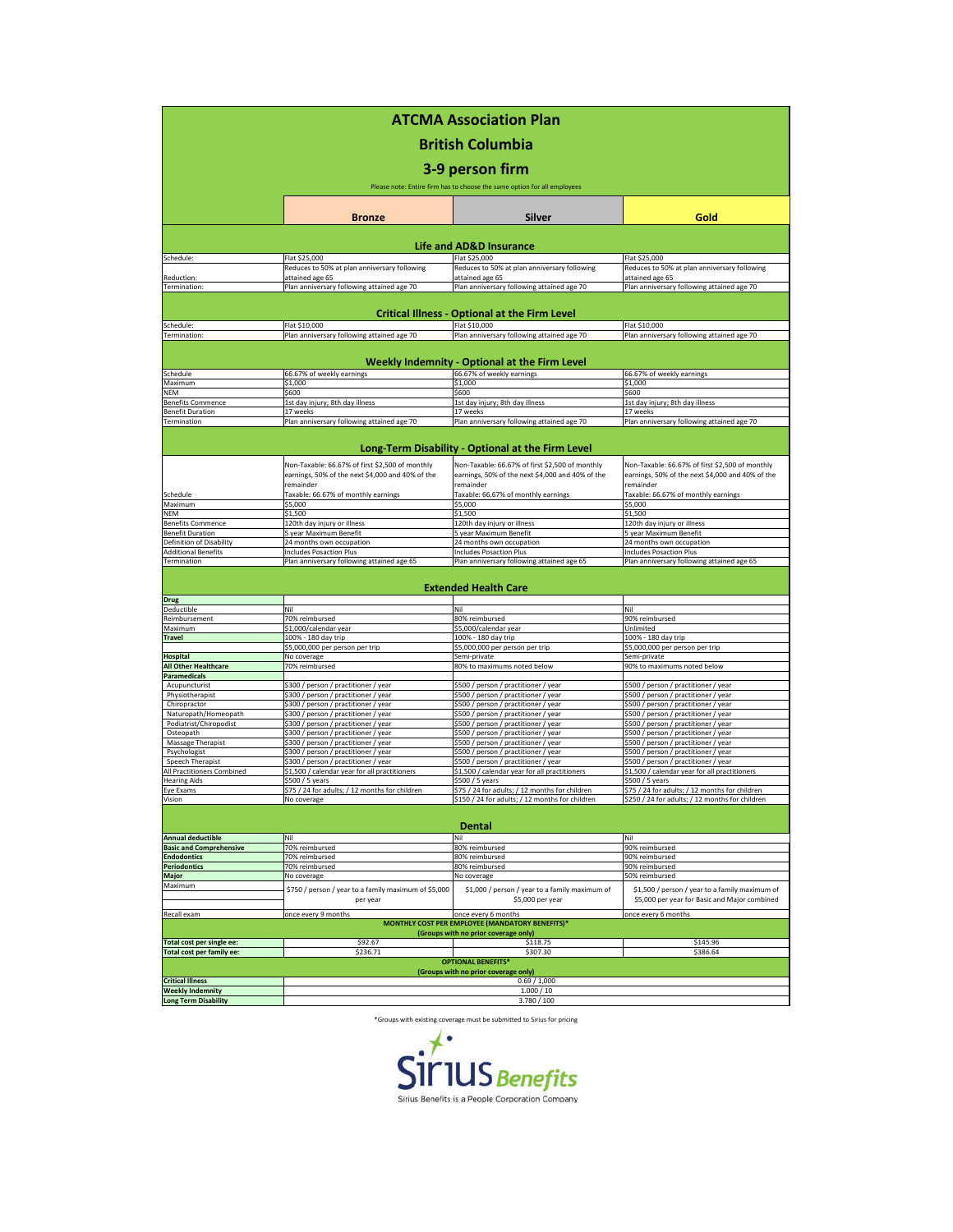| <b>ATCMA Association Plan</b>                                                              |                                                                                                                  |                                                                                                                  |                                                                                                                  |  |  |  |                                                                          |
|--------------------------------------------------------------------------------------------|------------------------------------------------------------------------------------------------------------------|------------------------------------------------------------------------------------------------------------------|------------------------------------------------------------------------------------------------------------------|--|--|--|--------------------------------------------------------------------------|
| <b>British Columbia</b><br>3-9 person firm                                                 |                                                                                                                  |                                                                                                                  |                                                                                                                  |  |  |  |                                                                          |
|                                                                                            |                                                                                                                  |                                                                                                                  |                                                                                                                  |  |  |  | Please note: Entire firm has to choose the same option for all employees |
|                                                                                            | <b>Bronze</b>                                                                                                    | Silver                                                                                                           | Gold                                                                                                             |  |  |  |                                                                          |
|                                                                                            |                                                                                                                  |                                                                                                                  |                                                                                                                  |  |  |  |                                                                          |
|                                                                                            | Flat \$25,000                                                                                                    | <b>Life and AD&amp;D Insurance</b><br>Flat \$25,000                                                              |                                                                                                                  |  |  |  |                                                                          |
| Schedule:                                                                                  | Reduces to 50% at plan anniversary following                                                                     | Reduces to 50% at plan anniversary following                                                                     | Flat \$25,000<br>Reduces to 50% at plan anniversary following                                                    |  |  |  |                                                                          |
| Reduction:                                                                                 | attained age 65                                                                                                  | attained age 65                                                                                                  | attained age 65                                                                                                  |  |  |  |                                                                          |
| Termination:                                                                               | Plan anniversary following attained age 70                                                                       | Plan anniversary following attained age 70                                                                       | Plan anniversary following attained age 70                                                                       |  |  |  |                                                                          |
| <b>Critical Illness - Optional at the Firm Level</b>                                       |                                                                                                                  |                                                                                                                  |                                                                                                                  |  |  |  |                                                                          |
| Schedule:                                                                                  | Flat \$10,000                                                                                                    | Flat \$10,000                                                                                                    | Flat \$10,000                                                                                                    |  |  |  |                                                                          |
| Termination:                                                                               | Plan anniversary following attained age 70                                                                       | Plan anniversary following attained age 70                                                                       | Plan anniversary following attained age 70                                                                       |  |  |  |                                                                          |
| Weekly Indemnity - Optional at the Firm Level                                              |                                                                                                                  |                                                                                                                  |                                                                                                                  |  |  |  |                                                                          |
| Schedule                                                                                   | 66.67% of weekly earnings                                                                                        | 66.67% of weekly earnings                                                                                        | 66.67% of weekly earnings                                                                                        |  |  |  |                                                                          |
| Maximum<br><b>NEM</b>                                                                      | \$1,000<br>\$600                                                                                                 | \$1,000<br>\$600                                                                                                 | \$1,000<br>\$600                                                                                                 |  |  |  |                                                                          |
| <b>Benefits Commence</b>                                                                   | 1st day injury; 8th day illness                                                                                  | 1st day injury; 8th day illness                                                                                  | 1st day injury; 8th day illness                                                                                  |  |  |  |                                                                          |
| <b>Benefit Duration</b>                                                                    | 17 weeks                                                                                                         | 17 weeks                                                                                                         | 17 weeks                                                                                                         |  |  |  |                                                                          |
| Termination                                                                                | Plan anniversary following attained age 70                                                                       | Plan anniversary following attained age 70                                                                       | Plan anniversary following attained age 70                                                                       |  |  |  |                                                                          |
| Long-Term Disability - Optional at the Firm Level                                          |                                                                                                                  |                                                                                                                  |                                                                                                                  |  |  |  |                                                                          |
|                                                                                            |                                                                                                                  |                                                                                                                  |                                                                                                                  |  |  |  |                                                                          |
|                                                                                            | Non-Taxable: 66.67% of first \$2,500 of monthly<br>earnings, 50% of the next \$4,000 and 40% of the<br>remainder | Non-Taxable: 66.67% of first \$2,500 of monthly<br>earnings, 50% of the next \$4,000 and 40% of the<br>remainder | Non-Taxable: 66.67% of first \$2,500 of monthly<br>earnings, 50% of the next \$4,000 and 40% of the<br>remainder |  |  |  |                                                                          |
| Schedule                                                                                   | Taxable: 66.67% of monthly earnings                                                                              | Taxable: 66.67% of monthly earnings                                                                              | Taxable: 66.67% of monthly earnings                                                                              |  |  |  |                                                                          |
| Maximum                                                                                    | \$5,000                                                                                                          | \$5,000                                                                                                          | \$5,000                                                                                                          |  |  |  |                                                                          |
| NEM                                                                                        | \$1,500                                                                                                          | \$1,500                                                                                                          | \$1,500                                                                                                          |  |  |  |                                                                          |
| <b>Benefits Commence</b><br>Benefit Duration                                               | 120th day injury or illness<br>5 year Maximum Benefit                                                            | 120th day injury or illness<br>5 year Maximum Benefit                                                            | 120th day injury or illness<br>5 year Maximum Benefit                                                            |  |  |  |                                                                          |
| Definition of Disability                                                                   | 24 months own occupation                                                                                         | 24 months own occupation                                                                                         | 24 months own occupation                                                                                         |  |  |  |                                                                          |
| <b>Additional Benefits</b>                                                                 | <b>Includes Posaction Plus</b>                                                                                   | <b>Includes Posaction Plus</b>                                                                                   | ncludes Posaction Plus                                                                                           |  |  |  |                                                                          |
| Termination                                                                                | Plan anniversary following attained age 65                                                                       | Plan anniversary following attained age 65                                                                       | Plan anniversary following attained age 65                                                                       |  |  |  |                                                                          |
|                                                                                            |                                                                                                                  | <b>Extended Health Care</b>                                                                                      |                                                                                                                  |  |  |  |                                                                          |
| <b>Drug</b>                                                                                |                                                                                                                  |                                                                                                                  |                                                                                                                  |  |  |  |                                                                          |
| Deductible                                                                                 | Nil                                                                                                              | Nil                                                                                                              | Nil                                                                                                              |  |  |  |                                                                          |
| Reimbursement<br>Maximum                                                                   | 70% reimbursed<br>\$1,000/calendar year                                                                          | 80% reimbursed<br>\$5,000/calendar year                                                                          | 90% reimbursed<br>Unlimited                                                                                      |  |  |  |                                                                          |
| <b>Travel</b>                                                                              | 100% - 180 day trip                                                                                              | 100% - 180 day trip                                                                                              | 100% - 180 day trip                                                                                              |  |  |  |                                                                          |
|                                                                                            | \$5,000,000 per person per trip                                                                                  | \$5,000,000 per person per trip                                                                                  | \$5,000,000 per person per trip                                                                                  |  |  |  |                                                                          |
| <b>Hospital</b>                                                                            | No coverage                                                                                                      | Semi-private                                                                                                     | Semi-private                                                                                                     |  |  |  |                                                                          |
| <b>All Other Healthcare</b><br>Paramedicals                                                | 70% reimbursed                                                                                                   | 80% to maximums noted below                                                                                      | 90% to maximums noted below                                                                                      |  |  |  |                                                                          |
| Acupuncturist                                                                              | \$300 / person / practitioner / year                                                                             | \$500 / person / practitioner / year                                                                             | \$500 / person / practitioner / year                                                                             |  |  |  |                                                                          |
| Physiotherapist                                                                            | \$300 / person / practitioner / year                                                                             | \$500 / person / practitioner / year                                                                             | \$500 / person / practitioner / year                                                                             |  |  |  |                                                                          |
| Chiropractor                                                                               | \$300 / person / practitioner / year                                                                             | \$500 / person / practitioner / year                                                                             | \$500 / person / practitioner / year                                                                             |  |  |  |                                                                          |
| Naturopath/Homeopath<br>Podiatrist/Chiropodist                                             | \$300 / person / practitioner / year<br>\$300 / person / practitioner / year                                     | \$500 / person / practitioner / year<br>\$500 / person / practitioner / year                                     | \$500 / person / practitioner / year<br>\$500 / person / practitioner / year                                     |  |  |  |                                                                          |
| Osteopath                                                                                  | \$300 / person / practitioner / year                                                                             | \$500 / person / practitioner / year                                                                             | \$500 / person / practitioner / year                                                                             |  |  |  |                                                                          |
| Massage Therapist                                                                          | \$300 / person / practitioner / year                                                                             | \$500 / person / practitioner / year                                                                             | \$500 / person / practitioner / year                                                                             |  |  |  |                                                                          |
| Psychologist                                                                               | \$300 / person / practitioner / year                                                                             | \$500 / person / practitioner / year                                                                             | \$500 / person / practitioner / year                                                                             |  |  |  |                                                                          |
| Speech Therapist                                                                           | \$300 / person / practitioner / year                                                                             | \$500 / person / practitioner / year                                                                             | \$500 / person / practitioner / year                                                                             |  |  |  |                                                                          |
| All Practitioners Combined<br><b>Hearing Aids</b>                                          | \$1,500 / calendar year for all practitioners<br>\$500 / 5 years                                                 | \$1,500 / calendar year for all practitioners<br>\$500 / 5 years                                                 | \$1,500 / calendar year for all practitioners<br>\$500 / 5 years                                                 |  |  |  |                                                                          |
| Eye Exams                                                                                  | \$75 / 24 for adults; / 12 months for children                                                                   | \$75 / 24 for adults; / 12 months for children                                                                   | \$75 / 24 for adults; / 12 months for children                                                                   |  |  |  |                                                                          |
| Vision                                                                                     | No coverage                                                                                                      | \$150 / 24 for adults; / 12 months for children                                                                  | \$250 / 24 for adults; / 12 months for children                                                                  |  |  |  |                                                                          |
| Dental                                                                                     |                                                                                                                  |                                                                                                                  |                                                                                                                  |  |  |  |                                                                          |
| <b>Annual deductible</b>                                                                   | Nil                                                                                                              | Nil                                                                                                              | Nil                                                                                                              |  |  |  |                                                                          |
| <b>Basic and Comprehensive</b>                                                             | 70% reimbursed                                                                                                   | 80% reimbursed                                                                                                   | 90% reimbursed                                                                                                   |  |  |  |                                                                          |
| <b>Endodontics</b>                                                                         | 70% reimbursed                                                                                                   | 80% reimbursed                                                                                                   | 90% reimbursed                                                                                                   |  |  |  |                                                                          |
| <b>Periodontics</b><br><b>Major</b>                                                        | 70% reimbursed<br>No coverage                                                                                    | 80% reimbursed<br>No coverage                                                                                    | 90% reimbursed<br>50% reimbursed                                                                                 |  |  |  |                                                                          |
| Maximum                                                                                    | \$750 / person / year to a family maximum of \$5,000<br>per year                                                 | \$1,000 / person / year to a family maximum of<br>\$5,000 per year                                               | \$1,500 / person / year to a family maximum of<br>\$5,000 per year for Basic and Major combined                  |  |  |  |                                                                          |
| Recall exam                                                                                | once every 9 months                                                                                              | once every 6 months                                                                                              | once every 6 months                                                                                              |  |  |  |                                                                          |
|                                                                                            |                                                                                                                  | <b>MONTHLY COST PER EMPLOYEE (MANDATORY BENEFITS)*</b>                                                           |                                                                                                                  |  |  |  |                                                                          |
|                                                                                            |                                                                                                                  | (Groups with no prior coverage only)                                                                             |                                                                                                                  |  |  |  |                                                                          |
| Total cost per single ee:                                                                  | \$92.67                                                                                                          | \$118.75                                                                                                         | \$145.96                                                                                                         |  |  |  |                                                                          |
| \$307.30<br>\$236.71<br>\$386.64<br>Total cost per family ee:<br><b>OPTIONAL BENEFITS*</b> |                                                                                                                  |                                                                                                                  |                                                                                                                  |  |  |  |                                                                          |
| (Groups with no prior coverage only)                                                       |                                                                                                                  |                                                                                                                  |                                                                                                                  |  |  |  |                                                                          |
| <b>Critical Illness</b>                                                                    | 0.69/1,000                                                                                                       |                                                                                                                  |                                                                                                                  |  |  |  |                                                                          |
| <b>Weekly Indemnity</b>                                                                    | 1.000 / 10                                                                                                       |                                                                                                                  |                                                                                                                  |  |  |  |                                                                          |
| <b>Long Term Disability</b>                                                                | 3.780 / 100                                                                                                      |                                                                                                                  |                                                                                                                  |  |  |  |                                                                          |